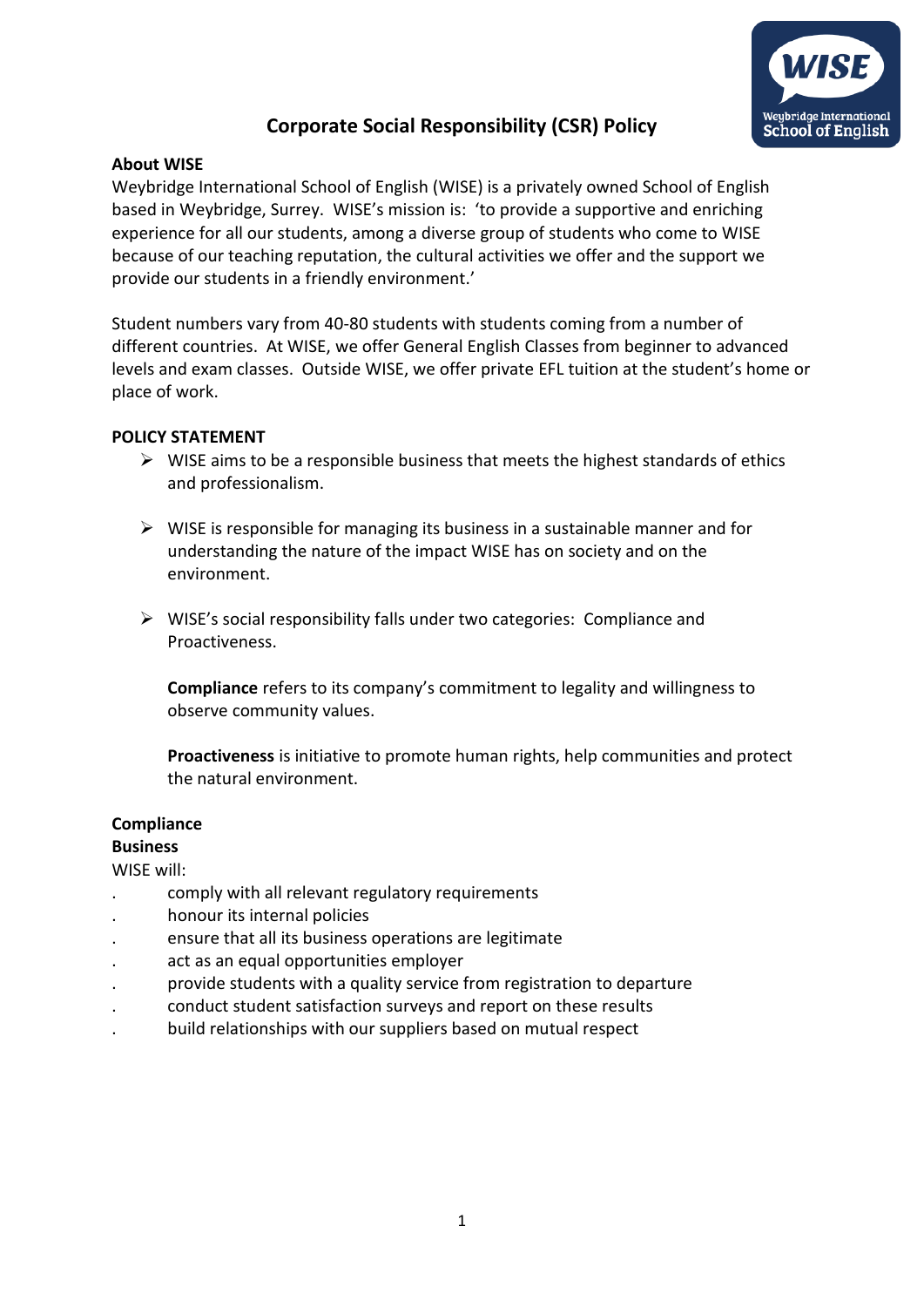

# **Corporate Social Responsibility (CSR) Policy**

### **About WISE**

Weybridge International School of English (WISE) is a privately owned School of English based in Weybridge, Surrey. WISE's mission is: 'to provide a supportive and enriching experience for all our students, among a diverse group of students who come to WISE because of our teaching reputation, the cultural activities we offer and the support we provide our students in a friendly environment.'

Student numbers vary from 40-80 students with students coming from a number of different countries. At WISE, we offer General English Classes from beginner to advanced levels and exam classes. Outside WISE, we offer private EFL tuition at the student's home or place of work.

### **POLICY STATEMENT**

- $\triangleright$  WISE aims to be a responsible business that meets the highest standards of ethics and professionalism.
- $\triangleright$  WISE is responsible for managing its business in a sustainable manner and for understanding the nature of the impact WISE has on society and on the environment.
- ➢ WISE's social responsibility falls under two categories: Compliance and Proactiveness.

**Compliance** refers to its company's commitment to legality and willingness to observe community values.

**Proactiveness** is initiative to promote human rights, help communities and protect the natural environment.

### **Compliance**

### **Business**

WISE will:

- . comply with all relevant regulatory requirements
- . honour its internal policies
- . ensure that all its business operations are legitimate
- . act as an equal opportunities employer
- . provide students with a quality service from registration to departure
- . conduct student satisfaction surveys and report on these results
- . build relationships with our suppliers based on mutual respect